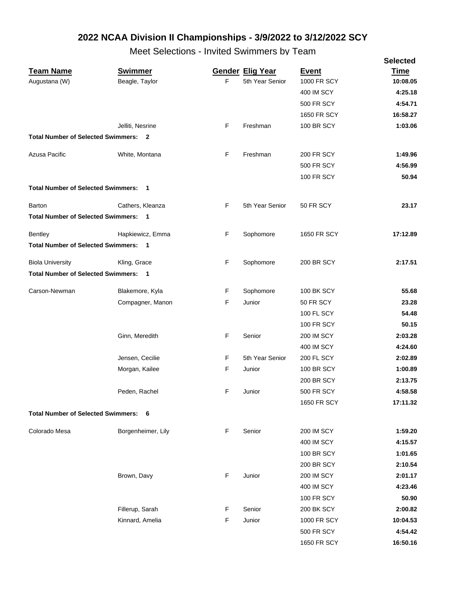| <b>Gender Elig Year</b><br><b>Swimmer</b><br><b>Event</b><br><b>Time</b><br>F<br>Beagle, Taylor<br>5th Year Senior<br><b>1000 FR SCY</b><br>10:08.05<br>4:25.18<br>400 IM SCY<br><b>500 FR SCY</b><br>4:54.71<br><b>1650 FR SCY</b><br>16:58.27<br>F<br>Freshman<br><b>100 BR SCY</b><br>1:03.06<br>Jelliti, Nesrine<br><b>Total Number of Selected Swimmers: 2</b><br>F<br>Freshman<br>Azusa Pacific<br>White, Montana<br><b>200 FR SCY</b><br>1:49.96<br><b>500 FR SCY</b><br>4:56.99<br><b>100 FR SCY</b><br>50.94<br><b>Total Number of Selected Swimmers:</b><br>$\overline{\mathbf{1}}$<br>Cathers, Kleanza<br>F<br>5th Year Senior<br>50 FR SCY<br>23.17<br><b>Total Number of Selected Swimmers:</b><br>$\overline{\phantom{0}}$<br>F<br>17:12.89<br>Hapkiewicz, Emma<br>Sophomore<br>1650 FR SCY<br><b>Total Number of Selected Swimmers: 1</b><br>F<br>Sophomore<br>2:17.51<br>Kling, Grace<br><b>200 BR SCY</b><br><b>Total Number of Selected Swimmers: 1</b><br>F<br>Carson-Newman<br>Blakemore, Kyla<br>Sophomore<br><b>100 BK SCY</b><br>55.68<br>F<br>Compagner, Manon<br>Junior<br>50 FR SCY<br>23.28<br><b>100 FL SCY</b><br>54.48<br>50.15<br><b>100 FR SCY</b><br>F<br>Senior<br>2:03.28<br>Ginn, Meredith<br><b>200 IM SCY</b><br>400 IM SCY<br>4:24.60<br>Jensen, Cecilie<br>F<br>5th Year Senior<br>200 FL SCY<br>2:02.89<br>F<br>1:00.89<br>Morgan, Kailee<br>Junior<br><b>100 BR SCY</b><br><b>200 BR SCY</b><br>2:13.75<br><b>500 FR SCY</b><br>4:58.58<br>Peden, Rachel<br>F<br>Junior<br>1650 FR SCY<br>17:11.32<br><b>Total Number of Selected Swimmers: 6</b><br>F<br>1:59.20<br>Borgenheimer, Lily<br>Senior<br><b>200 IM SCY</b><br>400 IM SCY<br>4:15.57<br><b>100 BR SCY</b><br>1:01.65<br><b>200 BR SCY</b><br>2:10.54<br>F<br>2:01.17<br>Brown, Davy<br>Junior<br><b>200 IM SCY</b><br>4:23.46<br>400 IM SCY<br><b>100 FR SCY</b><br>50.90<br>2:00.82<br>Fillerup, Sarah<br>F<br>Senior<br>200 BK SCY<br>F<br>10:04.53<br>Kinnard, Amelia<br>Junior<br>1000 FR SCY<br>4:54.42<br>500 FR SCY |                         |  |             | <b>Selected</b> |
|---------------------------------------------------------------------------------------------------------------------------------------------------------------------------------------------------------------------------------------------------------------------------------------------------------------------------------------------------------------------------------------------------------------------------------------------------------------------------------------------------------------------------------------------------------------------------------------------------------------------------------------------------------------------------------------------------------------------------------------------------------------------------------------------------------------------------------------------------------------------------------------------------------------------------------------------------------------------------------------------------------------------------------------------------------------------------------------------------------------------------------------------------------------------------------------------------------------------------------------------------------------------------------------------------------------------------------------------------------------------------------------------------------------------------------------------------------------------------------------------------------------------------------------------------------------------------------------------------------------------------------------------------------------------------------------------------------------------------------------------------------------------------------------------------------------------------------------------------------------------------------------------------------------------------------------------------------------------------------------------------------------------------------|-------------------------|--|-------------|-----------------|
|                                                                                                                                                                                                                                                                                                                                                                                                                                                                                                                                                                                                                                                                                                                                                                                                                                                                                                                                                                                                                                                                                                                                                                                                                                                                                                                                                                                                                                                                                                                                                                                                                                                                                                                                                                                                                                                                                                                                                                                                                                 | <b>Team Name</b>        |  |             |                 |
|                                                                                                                                                                                                                                                                                                                                                                                                                                                                                                                                                                                                                                                                                                                                                                                                                                                                                                                                                                                                                                                                                                                                                                                                                                                                                                                                                                                                                                                                                                                                                                                                                                                                                                                                                                                                                                                                                                                                                                                                                                 | Augustana (W)           |  |             |                 |
|                                                                                                                                                                                                                                                                                                                                                                                                                                                                                                                                                                                                                                                                                                                                                                                                                                                                                                                                                                                                                                                                                                                                                                                                                                                                                                                                                                                                                                                                                                                                                                                                                                                                                                                                                                                                                                                                                                                                                                                                                                 |                         |  |             |                 |
|                                                                                                                                                                                                                                                                                                                                                                                                                                                                                                                                                                                                                                                                                                                                                                                                                                                                                                                                                                                                                                                                                                                                                                                                                                                                                                                                                                                                                                                                                                                                                                                                                                                                                                                                                                                                                                                                                                                                                                                                                                 |                         |  |             |                 |
|                                                                                                                                                                                                                                                                                                                                                                                                                                                                                                                                                                                                                                                                                                                                                                                                                                                                                                                                                                                                                                                                                                                                                                                                                                                                                                                                                                                                                                                                                                                                                                                                                                                                                                                                                                                                                                                                                                                                                                                                                                 |                         |  |             |                 |
|                                                                                                                                                                                                                                                                                                                                                                                                                                                                                                                                                                                                                                                                                                                                                                                                                                                                                                                                                                                                                                                                                                                                                                                                                                                                                                                                                                                                                                                                                                                                                                                                                                                                                                                                                                                                                                                                                                                                                                                                                                 |                         |  |             |                 |
|                                                                                                                                                                                                                                                                                                                                                                                                                                                                                                                                                                                                                                                                                                                                                                                                                                                                                                                                                                                                                                                                                                                                                                                                                                                                                                                                                                                                                                                                                                                                                                                                                                                                                                                                                                                                                                                                                                                                                                                                                                 |                         |  |             |                 |
|                                                                                                                                                                                                                                                                                                                                                                                                                                                                                                                                                                                                                                                                                                                                                                                                                                                                                                                                                                                                                                                                                                                                                                                                                                                                                                                                                                                                                                                                                                                                                                                                                                                                                                                                                                                                                                                                                                                                                                                                                                 |                         |  |             |                 |
|                                                                                                                                                                                                                                                                                                                                                                                                                                                                                                                                                                                                                                                                                                                                                                                                                                                                                                                                                                                                                                                                                                                                                                                                                                                                                                                                                                                                                                                                                                                                                                                                                                                                                                                                                                                                                                                                                                                                                                                                                                 |                         |  |             |                 |
|                                                                                                                                                                                                                                                                                                                                                                                                                                                                                                                                                                                                                                                                                                                                                                                                                                                                                                                                                                                                                                                                                                                                                                                                                                                                                                                                                                                                                                                                                                                                                                                                                                                                                                                                                                                                                                                                                                                                                                                                                                 |                         |  |             |                 |
|                                                                                                                                                                                                                                                                                                                                                                                                                                                                                                                                                                                                                                                                                                                                                                                                                                                                                                                                                                                                                                                                                                                                                                                                                                                                                                                                                                                                                                                                                                                                                                                                                                                                                                                                                                                                                                                                                                                                                                                                                                 |                         |  |             |                 |
|                                                                                                                                                                                                                                                                                                                                                                                                                                                                                                                                                                                                                                                                                                                                                                                                                                                                                                                                                                                                                                                                                                                                                                                                                                                                                                                                                                                                                                                                                                                                                                                                                                                                                                                                                                                                                                                                                                                                                                                                                                 | Barton                  |  |             |                 |
|                                                                                                                                                                                                                                                                                                                                                                                                                                                                                                                                                                                                                                                                                                                                                                                                                                                                                                                                                                                                                                                                                                                                                                                                                                                                                                                                                                                                                                                                                                                                                                                                                                                                                                                                                                                                                                                                                                                                                                                                                                 |                         |  |             |                 |
|                                                                                                                                                                                                                                                                                                                                                                                                                                                                                                                                                                                                                                                                                                                                                                                                                                                                                                                                                                                                                                                                                                                                                                                                                                                                                                                                                                                                                                                                                                                                                                                                                                                                                                                                                                                                                                                                                                                                                                                                                                 | <b>Bentley</b>          |  |             |                 |
|                                                                                                                                                                                                                                                                                                                                                                                                                                                                                                                                                                                                                                                                                                                                                                                                                                                                                                                                                                                                                                                                                                                                                                                                                                                                                                                                                                                                                                                                                                                                                                                                                                                                                                                                                                                                                                                                                                                                                                                                                                 |                         |  |             |                 |
|                                                                                                                                                                                                                                                                                                                                                                                                                                                                                                                                                                                                                                                                                                                                                                                                                                                                                                                                                                                                                                                                                                                                                                                                                                                                                                                                                                                                                                                                                                                                                                                                                                                                                                                                                                                                                                                                                                                                                                                                                                 | <b>Biola University</b> |  |             |                 |
|                                                                                                                                                                                                                                                                                                                                                                                                                                                                                                                                                                                                                                                                                                                                                                                                                                                                                                                                                                                                                                                                                                                                                                                                                                                                                                                                                                                                                                                                                                                                                                                                                                                                                                                                                                                                                                                                                                                                                                                                                                 |                         |  |             |                 |
|                                                                                                                                                                                                                                                                                                                                                                                                                                                                                                                                                                                                                                                                                                                                                                                                                                                                                                                                                                                                                                                                                                                                                                                                                                                                                                                                                                                                                                                                                                                                                                                                                                                                                                                                                                                                                                                                                                                                                                                                                                 |                         |  |             |                 |
|                                                                                                                                                                                                                                                                                                                                                                                                                                                                                                                                                                                                                                                                                                                                                                                                                                                                                                                                                                                                                                                                                                                                                                                                                                                                                                                                                                                                                                                                                                                                                                                                                                                                                                                                                                                                                                                                                                                                                                                                                                 |                         |  |             |                 |
|                                                                                                                                                                                                                                                                                                                                                                                                                                                                                                                                                                                                                                                                                                                                                                                                                                                                                                                                                                                                                                                                                                                                                                                                                                                                                                                                                                                                                                                                                                                                                                                                                                                                                                                                                                                                                                                                                                                                                                                                                                 |                         |  |             |                 |
|                                                                                                                                                                                                                                                                                                                                                                                                                                                                                                                                                                                                                                                                                                                                                                                                                                                                                                                                                                                                                                                                                                                                                                                                                                                                                                                                                                                                                                                                                                                                                                                                                                                                                                                                                                                                                                                                                                                                                                                                                                 |                         |  |             |                 |
|                                                                                                                                                                                                                                                                                                                                                                                                                                                                                                                                                                                                                                                                                                                                                                                                                                                                                                                                                                                                                                                                                                                                                                                                                                                                                                                                                                                                                                                                                                                                                                                                                                                                                                                                                                                                                                                                                                                                                                                                                                 |                         |  |             |                 |
|                                                                                                                                                                                                                                                                                                                                                                                                                                                                                                                                                                                                                                                                                                                                                                                                                                                                                                                                                                                                                                                                                                                                                                                                                                                                                                                                                                                                                                                                                                                                                                                                                                                                                                                                                                                                                                                                                                                                                                                                                                 |                         |  |             |                 |
|                                                                                                                                                                                                                                                                                                                                                                                                                                                                                                                                                                                                                                                                                                                                                                                                                                                                                                                                                                                                                                                                                                                                                                                                                                                                                                                                                                                                                                                                                                                                                                                                                                                                                                                                                                                                                                                                                                                                                                                                                                 |                         |  |             |                 |
|                                                                                                                                                                                                                                                                                                                                                                                                                                                                                                                                                                                                                                                                                                                                                                                                                                                                                                                                                                                                                                                                                                                                                                                                                                                                                                                                                                                                                                                                                                                                                                                                                                                                                                                                                                                                                                                                                                                                                                                                                                 |                         |  |             |                 |
|                                                                                                                                                                                                                                                                                                                                                                                                                                                                                                                                                                                                                                                                                                                                                                                                                                                                                                                                                                                                                                                                                                                                                                                                                                                                                                                                                                                                                                                                                                                                                                                                                                                                                                                                                                                                                                                                                                                                                                                                                                 |                         |  |             |                 |
|                                                                                                                                                                                                                                                                                                                                                                                                                                                                                                                                                                                                                                                                                                                                                                                                                                                                                                                                                                                                                                                                                                                                                                                                                                                                                                                                                                                                                                                                                                                                                                                                                                                                                                                                                                                                                                                                                                                                                                                                                                 |                         |  |             |                 |
|                                                                                                                                                                                                                                                                                                                                                                                                                                                                                                                                                                                                                                                                                                                                                                                                                                                                                                                                                                                                                                                                                                                                                                                                                                                                                                                                                                                                                                                                                                                                                                                                                                                                                                                                                                                                                                                                                                                                                                                                                                 |                         |  |             |                 |
|                                                                                                                                                                                                                                                                                                                                                                                                                                                                                                                                                                                                                                                                                                                                                                                                                                                                                                                                                                                                                                                                                                                                                                                                                                                                                                                                                                                                                                                                                                                                                                                                                                                                                                                                                                                                                                                                                                                                                                                                                                 |                         |  |             |                 |
|                                                                                                                                                                                                                                                                                                                                                                                                                                                                                                                                                                                                                                                                                                                                                                                                                                                                                                                                                                                                                                                                                                                                                                                                                                                                                                                                                                                                                                                                                                                                                                                                                                                                                                                                                                                                                                                                                                                                                                                                                                 | Colorado Mesa           |  |             |                 |
|                                                                                                                                                                                                                                                                                                                                                                                                                                                                                                                                                                                                                                                                                                                                                                                                                                                                                                                                                                                                                                                                                                                                                                                                                                                                                                                                                                                                                                                                                                                                                                                                                                                                                                                                                                                                                                                                                                                                                                                                                                 |                         |  |             |                 |
|                                                                                                                                                                                                                                                                                                                                                                                                                                                                                                                                                                                                                                                                                                                                                                                                                                                                                                                                                                                                                                                                                                                                                                                                                                                                                                                                                                                                                                                                                                                                                                                                                                                                                                                                                                                                                                                                                                                                                                                                                                 |                         |  |             |                 |
|                                                                                                                                                                                                                                                                                                                                                                                                                                                                                                                                                                                                                                                                                                                                                                                                                                                                                                                                                                                                                                                                                                                                                                                                                                                                                                                                                                                                                                                                                                                                                                                                                                                                                                                                                                                                                                                                                                                                                                                                                                 |                         |  |             |                 |
|                                                                                                                                                                                                                                                                                                                                                                                                                                                                                                                                                                                                                                                                                                                                                                                                                                                                                                                                                                                                                                                                                                                                                                                                                                                                                                                                                                                                                                                                                                                                                                                                                                                                                                                                                                                                                                                                                                                                                                                                                                 |                         |  |             |                 |
|                                                                                                                                                                                                                                                                                                                                                                                                                                                                                                                                                                                                                                                                                                                                                                                                                                                                                                                                                                                                                                                                                                                                                                                                                                                                                                                                                                                                                                                                                                                                                                                                                                                                                                                                                                                                                                                                                                                                                                                                                                 |                         |  |             |                 |
|                                                                                                                                                                                                                                                                                                                                                                                                                                                                                                                                                                                                                                                                                                                                                                                                                                                                                                                                                                                                                                                                                                                                                                                                                                                                                                                                                                                                                                                                                                                                                                                                                                                                                                                                                                                                                                                                                                                                                                                                                                 |                         |  |             |                 |
|                                                                                                                                                                                                                                                                                                                                                                                                                                                                                                                                                                                                                                                                                                                                                                                                                                                                                                                                                                                                                                                                                                                                                                                                                                                                                                                                                                                                                                                                                                                                                                                                                                                                                                                                                                                                                                                                                                                                                                                                                                 |                         |  |             |                 |
|                                                                                                                                                                                                                                                                                                                                                                                                                                                                                                                                                                                                                                                                                                                                                                                                                                                                                                                                                                                                                                                                                                                                                                                                                                                                                                                                                                                                                                                                                                                                                                                                                                                                                                                                                                                                                                                                                                                                                                                                                                 |                         |  |             |                 |
|                                                                                                                                                                                                                                                                                                                                                                                                                                                                                                                                                                                                                                                                                                                                                                                                                                                                                                                                                                                                                                                                                                                                                                                                                                                                                                                                                                                                                                                                                                                                                                                                                                                                                                                                                                                                                                                                                                                                                                                                                                 |                         |  |             |                 |
|                                                                                                                                                                                                                                                                                                                                                                                                                                                                                                                                                                                                                                                                                                                                                                                                                                                                                                                                                                                                                                                                                                                                                                                                                                                                                                                                                                                                                                                                                                                                                                                                                                                                                                                                                                                                                                                                                                                                                                                                                                 |                         |  | 1650 FR SCY | 16:50.16        |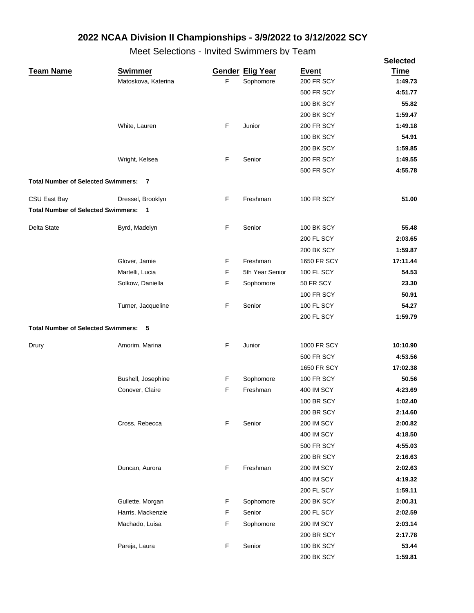|                                             |                     |   |                         |                   | <b>Selected</b> |
|---------------------------------------------|---------------------|---|-------------------------|-------------------|-----------------|
| <b>Team Name</b>                            | <b>Swimmer</b>      |   | <b>Gender Elig Year</b> | <b>Event</b>      | <b>Time</b>     |
|                                             | Matoskova, Katerina | F | Sophomore               | <b>200 FR SCY</b> | 1:49.73         |
|                                             |                     |   |                         | <b>500 FR SCY</b> | 4:51.77         |
|                                             |                     |   |                         | <b>100 BK SCY</b> | 55.82           |
|                                             |                     |   |                         | 200 BK SCY        | 1:59.47         |
|                                             | White, Lauren       | F | Junior                  | <b>200 FR SCY</b> | 1:49.18         |
|                                             |                     |   |                         | 100 BK SCY        | 54.91           |
|                                             |                     |   |                         | <b>200 BK SCY</b> | 1:59.85         |
|                                             | Wright, Kelsea      | F | Senior                  | <b>200 FR SCY</b> | 1:49.55         |
|                                             |                     |   |                         | <b>500 FR SCY</b> | 4:55.78         |
| <b>Total Number of Selected Swimmers:</b>   | - 7                 |   |                         |                   |                 |
| CSU East Bay                                | Dressel, Brooklyn   | F | Freshman                | <b>100 FR SCY</b> | 51.00           |
| <b>Total Number of Selected Swimmers:</b>   | $\blacksquare$      |   |                         |                   |                 |
| <b>Delta State</b>                          | Byrd, Madelyn       | F | Senior                  | <b>100 BK SCY</b> | 55.48           |
|                                             |                     |   |                         | <b>200 FL SCY</b> | 2:03.65         |
|                                             |                     |   |                         | <b>200 BK SCY</b> | 1:59.87         |
|                                             | Glover, Jamie       | F | Freshman                | 1650 FR SCY       | 17:11.44        |
|                                             | Martelli, Lucia     | F | 5th Year Senior         | 100 FL SCY        | 54.53           |
|                                             | Solkow, Daniella    | F | Sophomore               | 50 FR SCY         | 23.30           |
|                                             |                     |   |                         | <b>100 FR SCY</b> | 50.91           |
|                                             | Turner, Jacqueline  | F | Senior                  | 100 FL SCY        | 54.27           |
|                                             |                     |   |                         | <b>200 FL SCY</b> | 1:59.79         |
| <b>Total Number of Selected Swimmers: 5</b> |                     |   |                         |                   |                 |
| Drury                                       | Amorim, Marina      | F | Junior                  | 1000 FR SCY       | 10:10.90        |
|                                             |                     |   |                         | <b>500 FR SCY</b> | 4:53.56         |
|                                             |                     |   |                         | 1650 FR SCY       | 17:02.38        |
|                                             | Bushell, Josephine  | F | Sophomore               | <b>100 FR SCY</b> | 50.56           |
|                                             | Conover, Claire     | F | Freshman                | 400 IM SCY        | 4:23.69         |
|                                             |                     |   |                         | 100 BR SCY        | 1:02.40         |
|                                             |                     |   |                         | 200 BR SCY        | 2:14.60         |
|                                             | Cross, Rebecca      | F | Senior                  | <b>200 IM SCY</b> | 2:00.82         |
|                                             |                     |   |                         | 400 IM SCY        | 4:18.50         |
|                                             |                     |   |                         | 500 FR SCY        | 4:55.03         |
|                                             |                     |   |                         | <b>200 BR SCY</b> | 2:16.63         |
|                                             | Duncan, Aurora      | F | Freshman                | <b>200 IM SCY</b> | 2:02.63         |
|                                             |                     |   |                         | 400 IM SCY        | 4:19.32         |
|                                             |                     |   |                         | 200 FL SCY        | 1:59.11         |
|                                             | Gullette, Morgan    | F | Sophomore               | 200 BK SCY        | 2:00.31         |
|                                             | Harris, Mackenzie   | F | Senior                  | 200 FL SCY        | 2:02.59         |
|                                             | Machado, Luisa      | F | Sophomore               | <b>200 IM SCY</b> | 2:03.14         |
|                                             |                     |   |                         | 200 BR SCY        | 2:17.78         |
|                                             | Pareja, Laura       | F | Senior                  | <b>100 BK SCY</b> | 53.44           |
|                                             |                     |   |                         | 200 BK SCY        | 1:59.81         |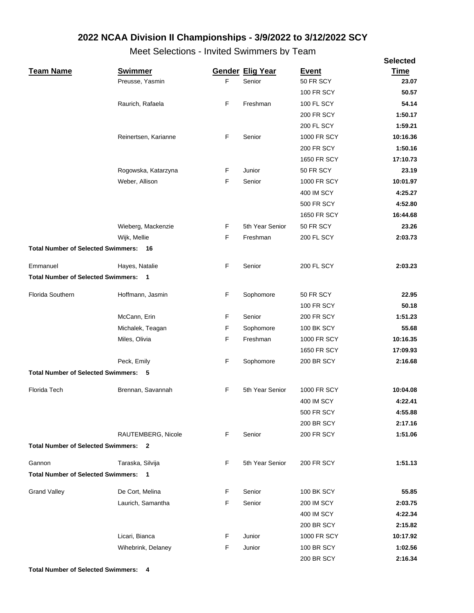|                                             |                      |             |                         |                    | <b>Selected</b> |
|---------------------------------------------|----------------------|-------------|-------------------------|--------------------|-----------------|
| <b>Team Name</b>                            | <b>Swimmer</b>       |             | <b>Gender Elig Year</b> | <b>Event</b>       | <b>Time</b>     |
|                                             | Preusse, Yasmin      | $\mathsf F$ | Senior                  | 50 FR SCY          | 23.07           |
|                                             |                      |             |                         | <b>100 FR SCY</b>  | 50.57           |
|                                             | Raurich, Rafaela     | F           | Freshman                | <b>100 FL SCY</b>  | 54.14           |
|                                             |                      |             |                         | <b>200 FR SCY</b>  | 1:50.17         |
|                                             |                      |             |                         | 200 FL SCY         | 1:59.21         |
|                                             | Reinertsen, Karianne | F           | Senior                  | 1000 FR SCY        | 10:16.36        |
|                                             |                      |             |                         | <b>200 FR SCY</b>  | 1:50.16         |
|                                             |                      |             |                         | 1650 FR SCY        | 17:10.73        |
|                                             | Rogowska, Katarzyna  | F           | Junior                  | 50 FR SCY          | 23.19           |
|                                             | Weber, Allison       | F           | Senior                  | 1000 FR SCY        | 10:01.97        |
|                                             |                      |             |                         | <b>400 IM SCY</b>  | 4:25.27         |
|                                             |                      |             |                         | <b>500 FR SCY</b>  | 4:52.80         |
|                                             |                      |             |                         | <b>1650 FR SCY</b> | 16:44.68        |
|                                             | Wieberg, Mackenzie   | F           | 5th Year Senior         | 50 FR SCY          | 23.26           |
|                                             | Wijk, Mellie         | F           | Freshman                | 200 FL SCY         | 2:03.73         |
| <b>Total Number of Selected Swimmers:</b>   | 16                   |             |                         |                    |                 |
| Emmanuel                                    | Hayes, Natalie       | F           | Senior                  | <b>200 FL SCY</b>  | 2:03.23         |
| <b>Total Number of Selected Swimmers: 1</b> |                      |             |                         |                    |                 |
| Florida Southern                            | Hoffmann, Jasmin     | F           | Sophomore               | 50 FR SCY          | 22.95           |
|                                             |                      |             |                         | <b>100 FR SCY</b>  | 50.18           |
|                                             | McCann, Erin         | F           | Senior                  | <b>200 FR SCY</b>  | 1:51.23         |
|                                             | Michalek, Teagan     | F           | Sophomore               | <b>100 BK SCY</b>  | 55.68           |
|                                             | Miles, Olivia        | F           | Freshman                | 1000 FR SCY        | 10:16.35        |
|                                             |                      |             |                         | 1650 FR SCY        | 17:09.93        |
|                                             | Peck, Emily          | F           | Sophomore               | <b>200 BR SCY</b>  | 2:16.68         |
| <b>Total Number of Selected Swimmers:</b>   | -5                   |             |                         |                    |                 |
| Florida Tech                                | Brennan, Savannah    | F           | 5th Year Senior         | 1000 FR SCY        | 10:04.08        |
|                                             |                      |             |                         | 400 IM SCY         | 4:22.41         |
|                                             |                      |             |                         | 500 FR SCY         | 4:55.88         |
|                                             |                      |             |                         | <b>200 BR SCY</b>  | 2:17.16         |
|                                             | RAUTEMBERG, Nicole   | F           | Senior                  | <b>200 FR SCY</b>  | 1:51.06         |
| <b>Total Number of Selected Swimmers:</b>   | - 2                  |             |                         |                    |                 |
| Gannon                                      | Taraska, Silvija     | F           | 5th Year Senior         | <b>200 FR SCY</b>  | 1:51.13         |
| <b>Total Number of Selected Swimmers: 1</b> |                      |             |                         |                    |                 |
| <b>Grand Valley</b>                         | De Cort, Melina      | F           | Senior                  | <b>100 BK SCY</b>  | 55.85           |
|                                             | Laurich, Samantha    | F           | Senior                  | <b>200 IM SCY</b>  | 2:03.75         |
|                                             |                      |             |                         | 400 IM SCY         | 4:22.34         |
|                                             |                      |             |                         | 200 BR SCY         | 2:15.82         |
|                                             | Licari, Bianca       | F           | Junior                  | 1000 FR SCY        | 10:17.92        |
|                                             | Wihebrink, Delaney   | F           | Junior                  | <b>100 BR SCY</b>  | 1:02.56         |
|                                             |                      |             |                         | 200 BR SCY         | 2:16.34         |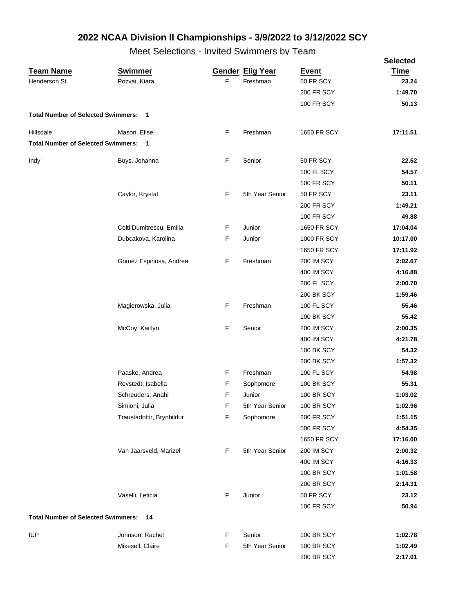|                                           | ,,,,,,                    |   |                         |                   | <b>Selected</b> |
|-------------------------------------------|---------------------------|---|-------------------------|-------------------|-----------------|
| <b>Team Name</b>                          | <b>Swimmer</b>            |   | <b>Gender Elig Year</b> | <b>Event</b>      | <b>Time</b>     |
| Henderson St.                             | Pozvai, Kiara             | F | Freshman                | 50 FR SCY         | 23.24           |
|                                           |                           |   |                         | <b>200 FR SCY</b> | 1:49.70         |
|                                           |                           |   |                         | <b>100 FR SCY</b> | 50.13           |
| <b>Total Number of Selected Swimmers:</b> | $\overline{\mathbf{1}}$   |   |                         |                   |                 |
| Hillsdale                                 | Mason, Elise              | F | Freshman                | 1650 FR SCY       | 17:11.51        |
| <b>Total Number of Selected Swimmers:</b> | $\blacksquare$            |   |                         |                   |                 |
| Indy                                      | Buys, Johanna             | F | Senior                  | 50 FR SCY         | 22.52           |
|                                           |                           |   |                         | 100 FL SCY        | 54.57           |
|                                           |                           |   |                         | <b>100 FR SCY</b> | 50.11           |
|                                           | Caylor, Krystal           | F | 5th Year Senior         | 50 FR SCY         | 23.11           |
|                                           |                           |   |                         | <b>200 FR SCY</b> | 1:49.21         |
|                                           |                           |   |                         | <b>100 FR SCY</b> | 49.88           |
|                                           | Colti Dumitrescu, Emilia  | F | Junior                  | 1650 FR SCY       | 17:04.04        |
|                                           | Dubcakova, Karolina       | F | Junior                  | 1000 FR SCY       | 10:17.00        |
|                                           |                           |   |                         | 1650 FR SCY       | 17:11.92        |
|                                           | Gomez Espinosa, Andrea    | F | Freshman                | <b>200 IM SCY</b> | 2:02.67         |
|                                           |                           |   |                         | 400 IM SCY        | 4:16.88         |
|                                           |                           |   |                         | <b>200 FL SCY</b> | 2:00.70         |
|                                           |                           |   |                         | <b>200 BK SCY</b> | 1:59.46         |
|                                           | Magierowska, Julia        | F | Freshman                | <b>100 FL SCY</b> | 55.46           |
|                                           |                           |   |                         | <b>100 BK SCY</b> | 55.42           |
|                                           | McCoy, Kaitlyn            | F | Senior                  | <b>200 IM SCY</b> | 2:00.35         |
|                                           |                           |   |                         | 400 IM SCY        | 4:21.78         |
|                                           |                           |   |                         | <b>100 BK SCY</b> | 54.32           |
|                                           |                           |   |                         | <b>200 BK SCY</b> | 1:57.32         |
|                                           | Paaske, Andrea            | F | Freshman                | <b>100 FL SCY</b> | 54.98           |
|                                           | Revstedt, Isabella        | F | Sophomore               | <b>100 BK SCY</b> | 55.31           |
|                                           | Schreuders, Anahi         | F | Junior                  | <b>100 BR SCY</b> | 1:03.02         |
|                                           | Simioni, Julia            | F | 5th Year Senior         | <b>100 BR SCY</b> | 1:02.96         |
|                                           | Traustadottir, Brynhildur | F | Sophomore               | 200 FR SCY        | 1:51.15         |
|                                           |                           |   |                         | <b>500 FR SCY</b> | 4:54.35         |
|                                           |                           |   |                         | 1650 FR SCY       | 17:16.00        |
|                                           | Van Jaarsveld, Marizel    | F | 5th Year Senior         | <b>200 IM SCY</b> | 2:00.32         |
|                                           |                           |   |                         | 400 IM SCY        | 4:16.33         |
|                                           |                           |   |                         | <b>100 BR SCY</b> | 1:01.58         |
|                                           |                           |   |                         | <b>200 BR SCY</b> | 2:14.31         |
|                                           | Vaselli, Leticia          | F | Junior                  | 50 FR SCY         | 23.12           |
|                                           |                           |   |                         | <b>100 FR SCY</b> | 50.94           |
| <b>Total Number of Selected Swimmers:</b> | 14                        |   |                         |                   |                 |
| <b>IUP</b>                                | Johnson, Rachel           | F | Senior                  | <b>100 BR SCY</b> | 1:02.78         |
|                                           | Mikesell, Claire          | F | 5th Year Senior         | <b>100 BR SCY</b> | 1:02.49         |
|                                           |                           |   |                         | 200 BR SCY        | 2:17.01         |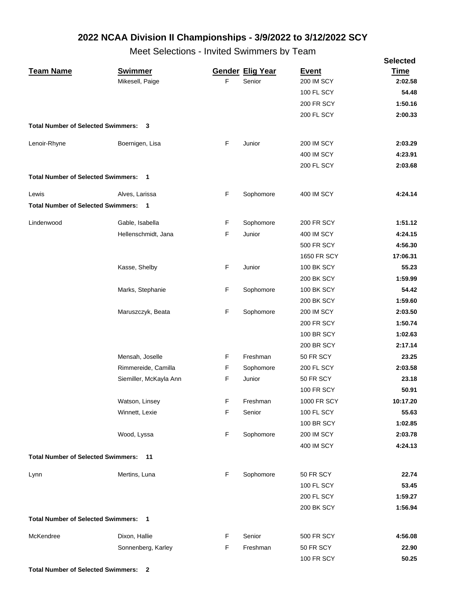Meet Selections - Invited Swimmers by Team

|                                             |                          |    |                         |                    | <b>Selected</b> |
|---------------------------------------------|--------------------------|----|-------------------------|--------------------|-----------------|
| <b>Team Name</b>                            | <b>Swimmer</b>           |    | <b>Gender Elig Year</b> | <b>Event</b>       | <b>Time</b>     |
|                                             | Mikesell, Paige          | F  | Senior                  | <b>200 IM SCY</b>  | 2:02.58         |
|                                             |                          |    |                         | <b>100 FL SCY</b>  | 54.48           |
|                                             |                          |    |                         | <b>200 FR SCY</b>  | 1:50.16         |
|                                             |                          |    |                         | 200 FL SCY         | 2:00.33         |
| <b>Total Number of Selected Swimmers:</b>   | 3                        |    |                         |                    |                 |
| Lenoir-Rhyne                                | Boernigen, Lisa          | F  | Junior                  | <b>200 IM SCY</b>  | 2:03.29         |
|                                             |                          |    |                         | 400 IM SCY         | 4:23.91         |
|                                             |                          |    |                         | 200 FL SCY         | 2:03.68         |
| <b>Total Number of Selected Swimmers:</b>   | $\blacksquare$           |    |                         |                    |                 |
| Lewis                                       | Alves, Larissa           | F  | Sophomore               | <b>400 IM SCY</b>  | 4:24.14         |
| <b>Total Number of Selected Swimmers:</b>   | $\overline{\phantom{0}}$ |    |                         |                    |                 |
| Lindenwood                                  | Gable, Isabella          | F  | Sophomore               | <b>200 FR SCY</b>  | 1:51.12         |
|                                             | Hellenschmidt, Jana      | F  | Junior                  | 400 IM SCY         | 4:24.15         |
|                                             |                          |    |                         | <b>500 FR SCY</b>  | 4:56.30         |
|                                             |                          |    |                         | <b>1650 FR SCY</b> | 17:06.31        |
|                                             | Kasse, Shelby            | F  | Junior                  | <b>100 BK SCY</b>  | 55.23           |
|                                             |                          |    |                         | <b>200 BK SCY</b>  | 1:59.99         |
|                                             | Marks, Stephanie         | F  | Sophomore               | <b>100 BK SCY</b>  | 54.42           |
|                                             |                          |    |                         | <b>200 BK SCY</b>  | 1:59.60         |
|                                             | Maruszczyk, Beata        | F  | Sophomore               | <b>200 IM SCY</b>  | 2:03.50         |
|                                             |                          |    |                         | <b>200 FR SCY</b>  | 1:50.74         |
|                                             |                          |    |                         | <b>100 BR SCY</b>  | 1:02.63         |
|                                             |                          |    |                         | <b>200 BR SCY</b>  | 2:17.14         |
|                                             | Mensah, Joselle          | F  | Freshman                | 50 FR SCY          | 23.25           |
|                                             | Rimmereide, Camilla      | F  | Sophomore               | 200 FL SCY         | 2:03.58         |
|                                             | Siemiller, McKayla Ann   | F  | Junior                  | 50 FR SCY          | 23.18           |
|                                             |                          |    |                         | <b>100 FR SCY</b>  | 50.91           |
|                                             | Watson, Linsey           | F. | Freshman                | 1000 FR SCY        | 10:17.20        |
|                                             | Winnett, Lexie           | F  | Senior                  | 100 FL SCY         | 55.63           |
|                                             |                          |    |                         | <b>100 BR SCY</b>  | 1:02.85         |
|                                             | Wood, Lyssa              | F  | Sophomore               | <b>200 IM SCY</b>  | 2:03.78         |
|                                             |                          |    |                         | 400 IM SCY         | 4:24.13         |
| <b>Total Number of Selected Swimmers:</b>   | 11                       |    |                         |                    |                 |
| Lynn                                        | Mertins, Luna            | F  | Sophomore               | 50 FR SCY          | 22.74           |
|                                             |                          |    |                         | 100 FL SCY         | 53.45           |
|                                             |                          |    |                         | 200 FL SCY         | 1:59.27         |
|                                             |                          |    |                         | 200 BK SCY         | 1:56.94         |
| <b>Total Number of Selected Swimmers: 1</b> |                          |    |                         |                    |                 |
| McKendree                                   | Dixon, Hallie            | F. | Senior                  | 500 FR SCY         | 4:56.08         |
|                                             | Sonnenberg, Karley       | F  | Freshman                | 50 FR SCY          | 22.90           |
|                                             |                          |    |                         | <b>100 FR SCY</b>  | 50.25           |

**Total Number of Selected Swimmers: 2**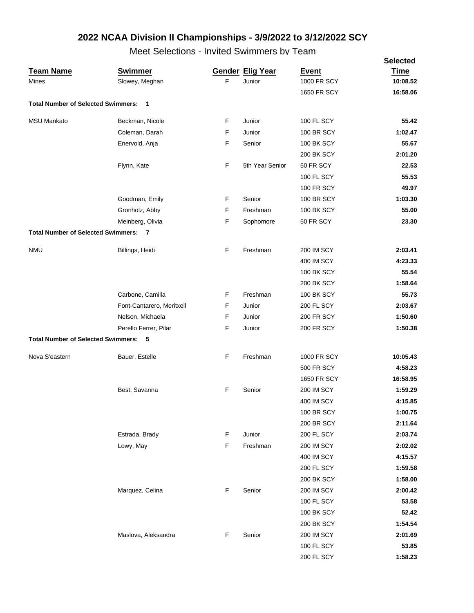|                                             |                           |             |                         |                   | <b>Selected</b> |
|---------------------------------------------|---------------------------|-------------|-------------------------|-------------------|-----------------|
| <b>Team Name</b>                            | <b>Swimmer</b>            |             | <b>Gender Elig Year</b> | <b>Event</b>      | <b>Time</b>     |
| Mines                                       | Slowey, Meghan            | $\mathsf F$ | Junior                  | 1000 FR SCY       | 10:08.52        |
|                                             |                           |             |                         | 1650 FR SCY       | 16:58.06        |
| <b>Total Number of Selected Swimmers:</b>   | $\overline{1}$            |             |                         |                   |                 |
| <b>MSU Mankato</b>                          | Beckman, Nicole           | F           | Junior                  | 100 FL SCY        | 55.42           |
|                                             | Coleman, Darah            | F           | Junior                  | <b>100 BR SCY</b> | 1:02.47         |
|                                             | Enervold, Anja            | F           | Senior                  | <b>100 BK SCY</b> | 55.67           |
|                                             |                           |             |                         | <b>200 BK SCY</b> | 2:01.20         |
|                                             | Flynn, Kate               | F           | 5th Year Senior         | 50 FR SCY         | 22.53           |
|                                             |                           |             |                         | 100 FL SCY        | 55.53           |
|                                             |                           |             |                         | <b>100 FR SCY</b> | 49.97           |
|                                             | Goodman, Emily            | F           | Senior                  | <b>100 BR SCY</b> | 1:03.30         |
|                                             | Gronholz, Abby            | F           | Freshman                | <b>100 BK SCY</b> | 55.00           |
|                                             | Meinberg, Olivia          | F           | Sophomore               | 50 FR SCY         | 23.30           |
| <b>Total Number of Selected Swimmers: 7</b> |                           |             |                         |                   |                 |
| <b>NMU</b>                                  | Billings, Heidi           | F           | Freshman                | <b>200 IM SCY</b> | 2:03.41         |
|                                             |                           |             |                         | <b>400 IM SCY</b> | 4:23.33         |
|                                             |                           |             |                         | <b>100 BK SCY</b> | 55.54           |
|                                             |                           |             |                         | <b>200 BK SCY</b> | 1:58.64         |
|                                             | Carbone, Camilla          | F           | Freshman                | 100 BK SCY        | 55.73           |
|                                             | Font-Cantarero, Meritxell | F           | Junior                  | <b>200 FL SCY</b> | 2:03.67         |
|                                             | Nelson, Michaela          | F           | Junior                  | <b>200 FR SCY</b> | 1:50.60         |
|                                             | Perello Ferrer, Pilar     | F           | Junior                  | <b>200 FR SCY</b> | 1:50.38         |
| <b>Total Number of Selected Swimmers: 5</b> |                           |             |                         |                   |                 |
| Nova S'eastern                              | Bauer, Estelle            | F           | Freshman                | 1000 FR SCY       | 10:05.43        |
|                                             |                           |             |                         | <b>500 FR SCY</b> | 4:58.23         |
|                                             |                           |             |                         | 1650 FR SCY       | 16:58.95        |
|                                             | Best, Savanna             | F           | Senior                  | <b>200 IM SCY</b> | 1:59.29         |
|                                             |                           |             |                         | <b>400 IM SCY</b> | 4:15.85         |
|                                             |                           |             |                         | <b>100 BR SCY</b> | 1:00.75         |
|                                             |                           |             |                         | 200 BR SCY        | 2:11.64         |
|                                             | Estrada, Brady            | F           | Junior                  | 200 FL SCY        | 2:03.74         |
|                                             | Lowy, May                 | F           | Freshman                | <b>200 IM SCY</b> | 2:02.02         |
|                                             |                           |             |                         | <b>400 IM SCY</b> | 4:15.57         |
|                                             |                           |             |                         | 200 FL SCY        | 1:59.58         |
|                                             |                           |             |                         | <b>200 BK SCY</b> | 1:58.00         |
|                                             | Marquez, Celina           | F           | Senior                  | <b>200 IM SCY</b> | 2:00.42         |
|                                             |                           |             |                         | 100 FL SCY        | 53.58           |
|                                             |                           |             |                         | 100 BK SCY        | 52.42           |
|                                             |                           |             |                         | <b>200 BK SCY</b> | 1:54.54         |
|                                             | Maslova, Aleksandra       | F           | Senior                  | <b>200 IM SCY</b> | 2:01.69         |
|                                             |                           |             |                         | 100 FL SCY        | 53.85           |
|                                             |                           |             |                         | 200 FL SCY        | 1:58.23         |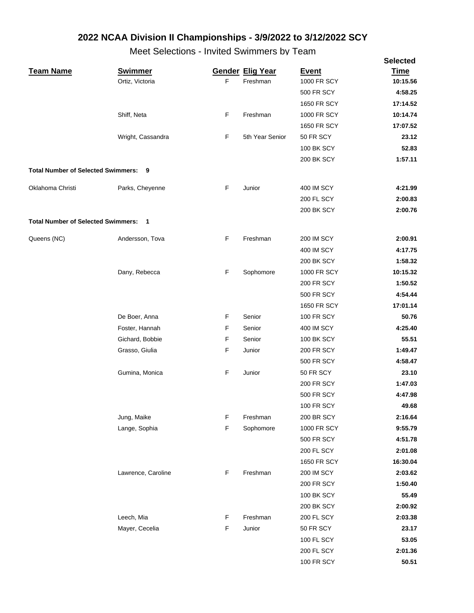|                                      |                    |   |                         |                   | <b>Selected</b> |
|--------------------------------------|--------------------|---|-------------------------|-------------------|-----------------|
| <u>Team Name</u>                     | <b>Swimmer</b>     |   | <b>Gender Elig Year</b> | <b>Event</b>      | <b>Time</b>     |
|                                      | Ortiz, Victoria    | F | Freshman                | 1000 FR SCY       | 10:15.56        |
|                                      |                    |   |                         | <b>500 FR SCY</b> | 4:58.25         |
|                                      |                    |   |                         | 1650 FR SCY       | 17:14.52        |
|                                      | Shiff, Neta        | F | Freshman                | 1000 FR SCY       | 10:14.74        |
|                                      |                    |   |                         | 1650 FR SCY       | 17:07.52        |
|                                      | Wright, Cassandra  | F | 5th Year Senior         | 50 FR SCY         | 23.12           |
|                                      |                    |   |                         | <b>100 BK SCY</b> | 52.83           |
|                                      |                    |   |                         | <b>200 BK SCY</b> | 1:57.11         |
| Total Number of Selected Swimmers: 9 |                    |   |                         |                   |                 |
| Oklahoma Christi                     | Parks, Cheyenne    | F | Junior                  | 400 IM SCY        | 4:21.99         |
|                                      |                    |   |                         | <b>200 FL SCY</b> | 2:00.83         |
|                                      |                    |   |                         | <b>200 BK SCY</b> | 2:00.76         |
| Total Number of Selected Swimmers: 1 |                    |   |                         |                   |                 |
| Queens (NC)                          | Andersson, Tova    | F | Freshman                | <b>200 IM SCY</b> | 2:00.91         |
|                                      |                    |   |                         | 400 IM SCY        | 4:17.75         |
|                                      |                    |   |                         | <b>200 BK SCY</b> | 1:58.32         |
|                                      | Dany, Rebecca      | F | Sophomore               | 1000 FR SCY       | 10:15.32        |
|                                      |                    |   |                         | <b>200 FR SCY</b> | 1:50.52         |
|                                      |                    |   |                         | <b>500 FR SCY</b> | 4:54.44         |
|                                      |                    |   |                         | 1650 FR SCY       | 17:01.14        |
|                                      | De Boer, Anna      | F | Senior                  | <b>100 FR SCY</b> | 50.76           |
|                                      | Foster, Hannah     | F | Senior                  | 400 IM SCY        | 4:25.40         |
|                                      | Gichard, Bobbie    | F | Senior                  | <b>100 BK SCY</b> | 55.51           |
|                                      | Grasso, Giulia     | F | Junior                  | <b>200 FR SCY</b> | 1:49.47         |
|                                      |                    |   |                         | <b>500 FR SCY</b> | 4:58.47         |
|                                      | Gumina, Monica     | F | Junior                  | 50 FR SCY         | 23.10           |
|                                      |                    |   |                         | <b>200 FR SCY</b> | 1:47.03         |
|                                      |                    |   |                         | <b>500 FR SCY</b> | 4:47.98         |
|                                      |                    |   |                         | <b>100 FR SCY</b> | 49.68           |
|                                      | Jung, Maike        | F | Freshman                | <b>200 BR SCY</b> | 2:16.64         |
|                                      | Lange, Sophia      | F | Sophomore               | 1000 FR SCY       | 9:55.79         |
|                                      |                    |   |                         | <b>500 FR SCY</b> | 4:51.78         |
|                                      |                    |   |                         | <b>200 FL SCY</b> | 2:01.08         |
|                                      |                    |   |                         | 1650 FR SCY       | 16:30.04        |
|                                      | Lawrence, Caroline | F | Freshman                | <b>200 IM SCY</b> | 2:03.62         |
|                                      |                    |   |                         | <b>200 FR SCY</b> | 1:50.40         |
|                                      |                    |   |                         | <b>100 BK SCY</b> | 55.49           |
|                                      |                    |   |                         | 200 BK SCY        | 2:00.92         |
|                                      | Leech, Mia         | F | Freshman                | 200 FL SCY        | 2:03.38         |
|                                      | Mayer, Cecelia     | F | Junior                  | 50 FR SCY         | 23.17           |
|                                      |                    |   |                         | 100 FL SCY        | 53.05           |
|                                      |                    |   |                         | 200 FL SCY        | 2:01.36         |
|                                      |                    |   |                         | <b>100 FR SCY</b> | 50.51           |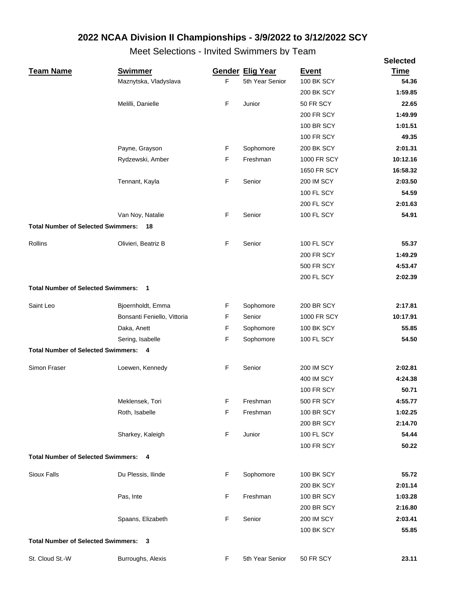|                                             |                             |             |                         |                   | <b>Selected</b> |
|---------------------------------------------|-----------------------------|-------------|-------------------------|-------------------|-----------------|
| <b>Team Name</b>                            | <b>Swimmer</b>              |             | <b>Gender Elig Year</b> | <b>Event</b>      | <b>Time</b>     |
|                                             | Maznytska, Vladyslava       | $\mathsf F$ | 5th Year Senior         | 100 BK SCY        | 54.36           |
|                                             |                             |             |                         | 200 BK SCY        | 1:59.85         |
|                                             | Melilli, Danielle           | F           | Junior                  | 50 FR SCY         | 22.65           |
|                                             |                             |             |                         | <b>200 FR SCY</b> | 1:49.99         |
|                                             |                             |             |                         | <b>100 BR SCY</b> | 1:01.51         |
|                                             |                             |             |                         | <b>100 FR SCY</b> | 49.35           |
|                                             | Payne, Grayson              | F           | Sophomore               | 200 BK SCY        | 2:01.31         |
|                                             | Rydzewski, Amber            | F           | Freshman                | 1000 FR SCY       | 10:12.16        |
|                                             |                             |             |                         | 1650 FR SCY       | 16:58.32        |
|                                             | Tennant, Kayla              | F           | Senior                  | 200 IM SCY        | 2:03.50         |
|                                             |                             |             |                         | <b>100 FL SCY</b> | 54.59           |
|                                             |                             |             |                         | 200 FL SCY        | 2:01.63         |
|                                             | Van Noy, Natalie            | F           | Senior                  | 100 FL SCY        | 54.91           |
| <b>Total Number of Selected Swimmers:</b>   | 18                          |             |                         |                   |                 |
| Rollins                                     | Olivieri, Beatriz B         | F           | Senior                  | <b>100 FL SCY</b> | 55.37           |
|                                             |                             |             |                         | <b>200 FR SCY</b> | 1:49.29         |
|                                             |                             |             |                         | <b>500 FR SCY</b> | 4:53.47         |
|                                             |                             |             |                         | 200 FL SCY        | 2:02.39         |
| <b>Total Number of Selected Swimmers:</b>   | $\blacksquare$              |             |                         |                   |                 |
| Saint Leo                                   | Bjoernholdt, Emma           | F           | Sophomore               | <b>200 BR SCY</b> | 2:17.81         |
|                                             | Bonsanti Feniello, Vittoria | F           | Senior                  | 1000 FR SCY       | 10:17.91        |
|                                             | Daka, Anett                 | F           | Sophomore               | <b>100 BK SCY</b> | 55.85           |
|                                             | Sering, Isabelle            | F           | Sophomore               | 100 FL SCY        | 54.50           |
| <b>Total Number of Selected Swimmers: 4</b> |                             |             |                         |                   |                 |
| Simon Fraser                                | Loewen, Kennedy             | F           | Senior                  | <b>200 IM SCY</b> | 2:02.81         |
|                                             |                             |             |                         | 400 IM SCY        | 4:24.38         |
|                                             |                             |             |                         | <b>100 FR SCY</b> | 50.71           |
|                                             | Meklensek, Tori             | F           | Freshman                | <b>500 FR SCY</b> | 4:55.77         |
|                                             | Roth, Isabelle              | F           | Freshman                | <b>100 BR SCY</b> | 1:02.25         |
|                                             |                             |             |                         | <b>200 BR SCY</b> | 2:14.70         |
|                                             | Sharkey, Kaleigh            | F           | Junior                  | 100 FL SCY        | 54.44           |
|                                             |                             |             |                         | <b>100 FR SCY</b> | 50.22           |
| <b>Total Number of Selected Swimmers: 4</b> |                             |             |                         |                   |                 |
| Sioux Falls                                 | Du Plessis, Ilinde          | F           | Sophomore               | <b>100 BK SCY</b> | 55.72           |
|                                             |                             |             |                         | <b>200 BK SCY</b> | 2:01.14         |
|                                             | Pas, Inte                   | F           | Freshman                | <b>100 BR SCY</b> | 1:03.28         |
|                                             |                             |             |                         | <b>200 BR SCY</b> | 2:16.80         |
|                                             | Spaans, Elizabeth           | F           | Senior                  | <b>200 IM SCY</b> | 2:03.41         |
|                                             |                             |             |                         | <b>100 BK SCY</b> | 55.85           |
| <b>Total Number of Selected Swimmers:</b>   | 3                           |             |                         |                   |                 |
| St. Cloud St.-W                             | Burroughs, Alexis           | F           | 5th Year Senior         | 50 FR SCY         | 23.11           |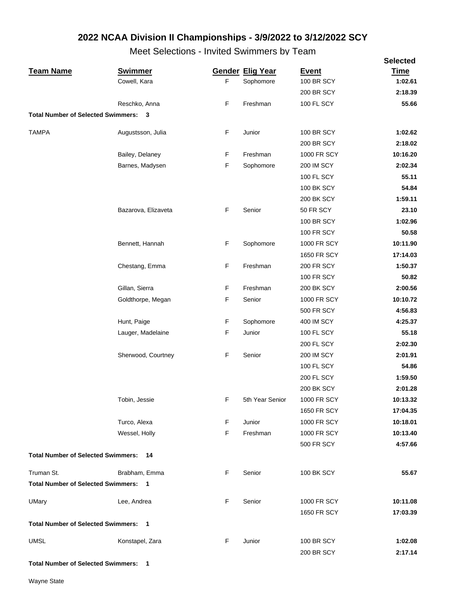Meet Selections - Invited Swimmers by Team

|                                             |                         |    |                         |                    | <b>Selected</b> |
|---------------------------------------------|-------------------------|----|-------------------------|--------------------|-----------------|
| <b>Team Name</b>                            | <b>Swimmer</b>          |    | <b>Gender Elig Year</b> | <b>Event</b>       | <b>Time</b>     |
|                                             | Cowell, Kara            | F. | Sophomore               | <b>100 BR SCY</b>  | 1:02.61         |
|                                             |                         |    |                         | <b>200 BR SCY</b>  | 2:18.39         |
|                                             | Reschko, Anna           | F  | Freshman                | 100 FL SCY         | 55.66           |
| <b>Total Number of Selected Swimmers:</b>   | $\overline{\mathbf{3}}$ |    |                         |                    |                 |
| <b>TAMPA</b>                                | Augustsson, Julia       | F  | Junior                  | <b>100 BR SCY</b>  | 1:02.62         |
|                                             |                         |    |                         | <b>200 BR SCY</b>  | 2:18.02         |
|                                             | Bailey, Delaney         | F  | Freshman                | 1000 FR SCY        | 10:16.20        |
|                                             | Barnes, Madysen         | F  | Sophomore               | <b>200 IM SCY</b>  | 2:02.34         |
|                                             |                         |    |                         | <b>100 FL SCY</b>  | 55.11           |
|                                             |                         |    |                         | <b>100 BK SCY</b>  | 54.84           |
|                                             |                         |    |                         | <b>200 BK SCY</b>  | 1:59.11         |
|                                             | Bazarova, Elizaveta     | F  | Senior                  | 50 FR SCY          | 23.10           |
|                                             |                         |    |                         | <b>100 BR SCY</b>  | 1:02.96         |
|                                             |                         |    |                         | <b>100 FR SCY</b>  | 50.58           |
|                                             | Bennett, Hannah         | F  | Sophomore               | 1000 FR SCY        | 10:11.90        |
|                                             |                         |    |                         | 1650 FR SCY        | 17:14.03        |
|                                             | Chestang, Emma          | F  | Freshman                | <b>200 FR SCY</b>  | 1:50.37         |
|                                             |                         |    |                         | <b>100 FR SCY</b>  | 50.82           |
|                                             | Gillan, Sierra          | F  | Freshman                | <b>200 BK SCY</b>  | 2:00.56         |
|                                             | Goldthorpe, Megan       | F  | Senior                  | 1000 FR SCY        | 10:10.72        |
|                                             |                         |    |                         | <b>500 FR SCY</b>  | 4:56.83         |
|                                             | Hunt, Paige             | F  | Sophomore               | 400 IM SCY         | 4:25.37         |
|                                             | Lauger, Madelaine       | F  | Junior                  | <b>100 FL SCY</b>  | 55.18           |
|                                             |                         |    |                         | <b>200 FL SCY</b>  | 2:02.30         |
|                                             | Sherwood, Courtney      | F  | Senior                  | <b>200 IM SCY</b>  | 2:01.91         |
|                                             |                         |    |                         | <b>100 FL SCY</b>  | 54.86           |
|                                             |                         |    |                         | <b>200 FL SCY</b>  | 1:59.50         |
|                                             |                         |    |                         | 200 BK SCY         | 2:01.28         |
|                                             | Tobin, Jessie           | F  | 5th Year Senior         | <b>1000 FR SCY</b> | 10:13.32        |
|                                             |                         |    |                         | 1650 FR SCY        | 17:04.35        |
|                                             | Turco, Alexa            | F  | Junior                  | 1000 FR SCY        | 10:18.01        |
|                                             | Wessel, Holly           | F  | Freshman                | 1000 FR SCY        | 10:13.40        |
|                                             |                         |    |                         | <b>500 FR SCY</b>  | 4:57.66         |
| <b>Total Number of Selected Swimmers:</b>   | 14                      |    |                         |                    |                 |
| Truman St.                                  | Brabham, Emma           | F  | Senior                  | <b>100 BK SCY</b>  | 55.67           |
| <b>Total Number of Selected Swimmers:</b>   | - 1                     |    |                         |                    |                 |
| <b>UMary</b>                                | Lee, Andrea             | F  | Senior                  | 1000 FR SCY        | 10:11.08        |
|                                             |                         |    |                         | 1650 FR SCY        | 17:03.39        |
| <b>Total Number of Selected Swimmers: 1</b> |                         |    |                         |                    |                 |
| <b>UMSL</b>                                 | Konstapel, Zara         | F  | Junior                  | <b>100 BR SCY</b>  | 1:02.08         |
|                                             |                         |    |                         | <b>200 BR SCY</b>  | 2:17.14         |
|                                             |                         |    |                         |                    |                 |

**Total Number of Selected Swimmers: 1**

Wayne State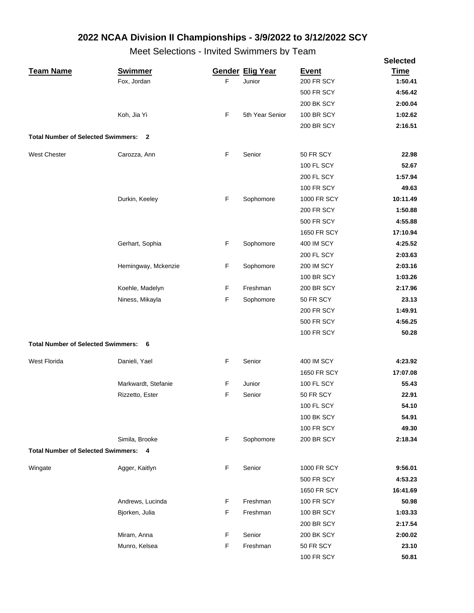|                                             |                     |             |                         |                    | <b>Selected</b> |
|---------------------------------------------|---------------------|-------------|-------------------------|--------------------|-----------------|
| <b>Team Name</b>                            | <b>Swimmer</b>      |             | <b>Gender Elig Year</b> | <b>Event</b>       | <b>Time</b>     |
|                                             | Fox, Jordan         | F           | Junior                  | 200 FR SCY         | 1:50.41         |
|                                             |                     |             |                         | <b>500 FR SCY</b>  | 4:56.42         |
|                                             |                     |             |                         | 200 BK SCY         | 2:00.04         |
|                                             | Koh, Jia Yi         | F           | 5th Year Senior         | <b>100 BR SCY</b>  | 1:02.62         |
|                                             |                     |             |                         | 200 BR SCY         | 2:16.51         |
| <b>Total Number of Selected Swimmers:</b>   | $\mathbf{2}$        |             |                         |                    |                 |
| West Chester                                | Carozza, Ann        | F           | Senior                  | 50 FR SCY          | 22.98           |
|                                             |                     |             |                         | <b>100 FL SCY</b>  | 52.67           |
|                                             |                     |             |                         | 200 FL SCY         | 1:57.94         |
|                                             |                     |             |                         | <b>100 FR SCY</b>  | 49.63           |
|                                             | Durkin, Keeley      | F           | Sophomore               | 1000 FR SCY        | 10:11.49        |
|                                             |                     |             |                         | <b>200 FR SCY</b>  | 1:50.88         |
|                                             |                     |             |                         | <b>500 FR SCY</b>  | 4:55.88         |
|                                             |                     |             |                         | <b>1650 FR SCY</b> | 17:10.94        |
|                                             | Gerhart, Sophia     | F           | Sophomore               | 400 IM SCY         | 4:25.52         |
|                                             |                     |             |                         | <b>200 FL SCY</b>  | 2:03.63         |
|                                             | Hemingway, Mckenzie | F           | Sophomore               | 200 IM SCY         | 2:03.16         |
|                                             |                     |             |                         | <b>100 BR SCY</b>  | 1:03.26         |
|                                             | Koehle, Madelyn     | F           | Freshman                | 200 BR SCY         | 2:17.96         |
|                                             | Niness, Mikayla     | F           | Sophomore               | 50 FR SCY          | 23.13           |
|                                             |                     |             |                         | <b>200 FR SCY</b>  | 1:49.91         |
|                                             |                     |             |                         | <b>500 FR SCY</b>  | 4:56.25         |
|                                             |                     |             |                         | <b>100 FR SCY</b>  | 50.28           |
| <b>Total Number of Selected Swimmers:</b>   | 6                   |             |                         |                    |                 |
| West Florida                                | Danieli, Yael       | F           | Senior                  | <b>400 IM SCY</b>  | 4:23.92         |
|                                             |                     |             |                         | 1650 FR SCY        | 17:07.08        |
|                                             | Markwardt, Stefanie | F           | Junior                  | <b>100 FL SCY</b>  | 55.43           |
|                                             | Rizzetto, Ester     | F           | Senior                  | 50 FR SCY          | 22.91           |
|                                             |                     |             |                         | <b>100 FL SCY</b>  | 54.10           |
|                                             |                     |             |                         | 100 BK SCY         | 54.91           |
|                                             |                     |             |                         | <b>100 FR SCY</b>  | 49.30           |
|                                             | Simila, Brooke      | F           | Sophomore               | <b>200 BR SCY</b>  | 2:18.34         |
| <b>Total Number of Selected Swimmers: 4</b> |                     |             |                         |                    |                 |
| Wingate                                     | Agger, Kaitlyn      | F           | Senior                  | <b>1000 FR SCY</b> | 9:56.01         |
|                                             |                     |             |                         | <b>500 FR SCY</b>  | 4:53.23         |
|                                             |                     |             |                         | 1650 FR SCY        | 16:41.69        |
|                                             | Andrews, Lucinda    | F           | Freshman                | <b>100 FR SCY</b>  | 50.98           |
|                                             | Bjorken, Julia      | F           | Freshman                | <b>100 BR SCY</b>  | 1:03.33         |
|                                             |                     |             |                         | <b>200 BR SCY</b>  | 2:17.54         |
|                                             | Miram, Anna         | F           | Senior                  | 200 BK SCY         | 2:00.02         |
|                                             | Munro, Kelsea       | $\mathsf F$ | Freshman                | 50 FR SCY          | 23.10           |
|                                             |                     |             |                         | <b>100 FR SCY</b>  | 50.81           |